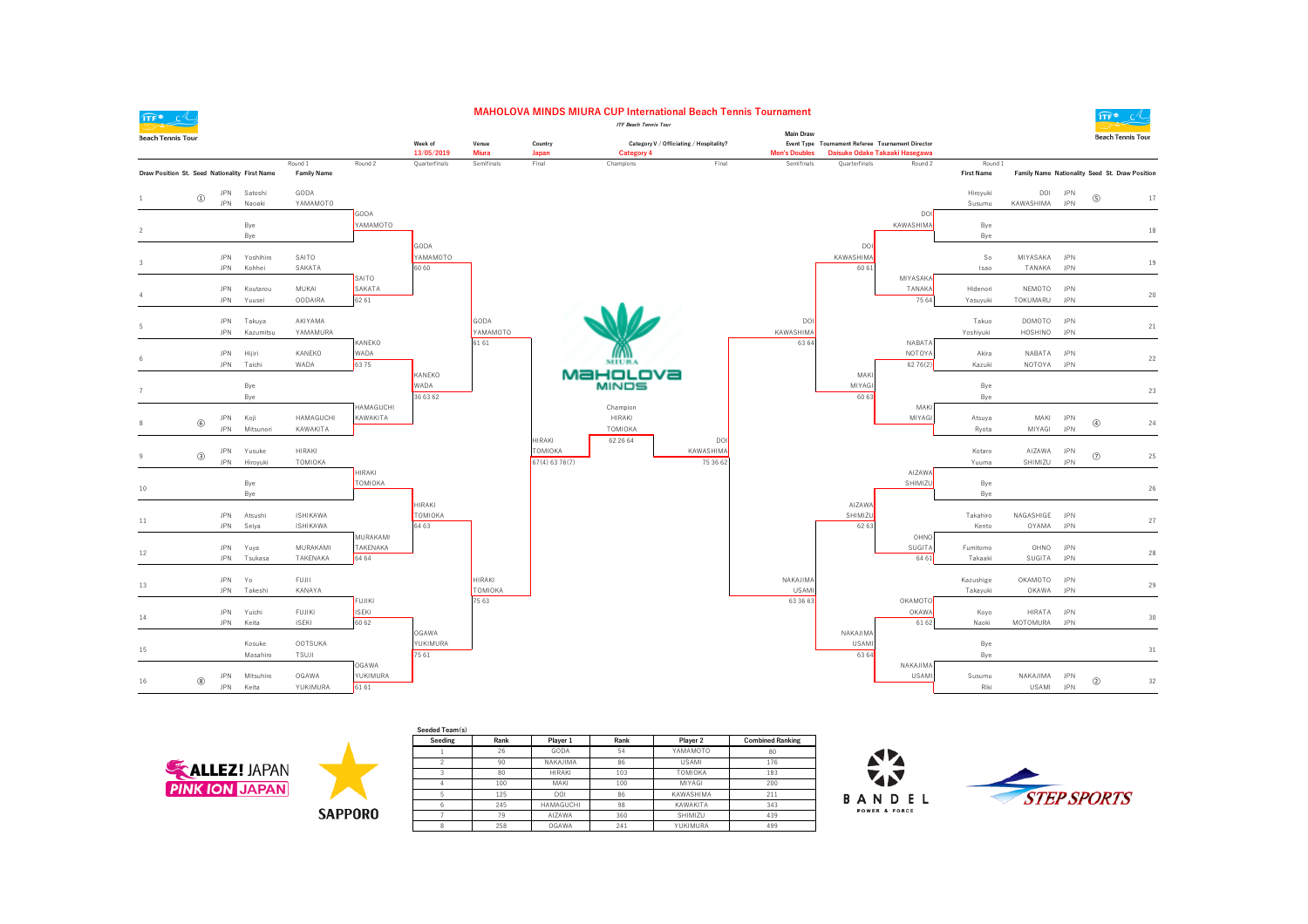

## **MAHOLOVA MINDS MIURA CUP International Beach Tennis Tournament**



| $T$ $\sim$ $C$ $\sim$                         |                            |                          |                    |                                    |               |                         |               |                           | <b>ITF Beach Tennis Tour</b> |                                         |                      |                                                   |                                |                       |                      |                          | 些之                                             |        |
|-----------------------------------------------|----------------------------|--------------------------|--------------------|------------------------------------|---------------|-------------------------|---------------|---------------------------|------------------------------|-----------------------------------------|----------------------|---------------------------------------------------|--------------------------------|-----------------------|----------------------|--------------------------|------------------------------------------------|--------|
| <b>Beach Tennis Tour</b>                      |                            |                          |                    |                                    |               | Week of                 | Venue         | Country                   |                              | Category V / Officiating / Hospitality? | <b>Main Draw</b>     | Event Type Tournament Referee Tournament Director |                                |                       |                      |                          | <b>Beach Tennis Tour</b>                       |        |
|                                               |                            |                          |                    |                                    |               | 13/05/2019              | <b>Miura</b>  | Japan                     | Category 4                   |                                         | <b>Men's Doubles</b> |                                                   | Daisuke Odake Takaaki Hasegawa |                       |                      |                          |                                                |        |
|                                               |                            |                          |                    | Round 1                            | Round 2       | Quarterfinals           | Semifinals    | Final                     | Champions                    | Final                                   | Semifinals           | Quarterfinals                                     | Round 2                        | Round 1               |                      |                          |                                                |        |
| Draw Position St. Seed Nationality First Name |                            |                          |                    | <b>Family Name</b>                 |               |                         |               |                           |                              |                                         |                      |                                                   |                                | <b>First Name</b>     |                      |                          | Family Name Nationality Seed St. Draw Position |        |
|                                               |                            | JPN                      | Satoshi            | GODA                               |               |                         |               |                           |                              |                                         |                      |                                                   |                                | Hiroyuki              | DOI                  | <b>JPN</b>               |                                                |        |
|                                               | $^{\textcircled{\tiny 1}}$ | <b>JPN</b>               | Naoaki             | YAMAMOTO                           |               |                         |               |                           |                              |                                         |                      |                                                   |                                | Susumu                | KAWASHIMA            | <b>JPN</b>               | $\circledS$                                    | 17     |
|                                               |                            |                          |                    |                                    | GODA          |                         |               |                           |                              |                                         |                      |                                                   | DO                             |                       |                      |                          |                                                |        |
|                                               |                            |                          | Bye                |                                    | YAMAMOTO      |                         |               |                           |                              |                                         |                      |                                                   | KAWASHIMA                      | Bye                   |                      |                          |                                                | 18     |
|                                               |                            |                          | Bye                |                                    |               | GODA                    |               |                           |                              |                                         |                      | <b>DOI</b>                                        |                                | Bye                   |                      |                          |                                                |        |
|                                               |                            | <b>JPN</b>               | Yoshihiro          | SAITO                              |               | YAMAMOTO                |               |                           |                              |                                         |                      | KAWASHIMA                                         |                                | So                    | MIYASAKA             | <b>JPN</b>               |                                                |        |
|                                               |                            | JPN                      | Kohhei             | SAKATA                             |               | 60 60                   |               |                           |                              |                                         |                      | 60 61                                             |                                | Isao                  | TANAKA               | <b>JPN</b>               |                                                | $19$   |
|                                               |                            |                          |                    |                                    | SAITO         |                         |               |                           |                              |                                         |                      |                                                   | MIYASAKA                       |                       |                      |                          |                                                |        |
|                                               |                            | JPN                      | Koutarou           | MUKAI                              | SAKATA        |                         |               |                           |                              |                                         |                      |                                                   | TANAKA                         | Hidenori              | NEMOTO               | <b>JPN</b>               |                                                | 20     |
|                                               |                            | <b>JPN</b>               | Yuusei             | <b>OODAIRA</b>                     | 62 61         |                         |               |                           |                              |                                         |                      |                                                   | 75 64                          | Yasuyuki              | TOKUMARU             | <b>JPN</b>               |                                                |        |
|                                               |                            | <b>JPN</b>               | Takuya             | AKIYAMA                            |               |                         | GODA          |                           |                              |                                         | DOI                  |                                                   |                                | Takuo                 | DOMOTO               | <b>JPN</b>               |                                                |        |
|                                               |                            | <b>JPN</b>               | Kazumitsu          | YAMAMURA                           |               |                         | YAMAMOTO      |                           |                              |                                         | KAWASHIMA            |                                                   |                                | Yoshiyuki             | HOSHINO              | <b>JPN</b>               |                                                | 21     |
|                                               |                            |                          |                    |                                    | KANEKO        |                         | 61 61         |                           |                              |                                         | 63 64                |                                                   | NABATA                         |                       |                      |                          |                                                |        |
|                                               |                            | <b>JPN</b>               | Hijiri             | KANEKO                             | WADA          |                         |               |                           |                              |                                         |                      |                                                   | NOTOYA                         | Akira                 | NABATA               | <b>JPN</b>               |                                                | 22     |
|                                               |                            | <b>JPN</b>               | Taichi             | WADA                               | 6375          |                         |               |                           | MIURA                        |                                         |                      |                                                   | 62 76 (2)                      | Kazuki                | NOTOYA               | <b>JPN</b>               |                                                |        |
|                                               |                            |                          | Bye                |                                    |               | KANEKO<br><b>WADA</b>   |               |                           | MaHoLova<br><b>MINDS</b>     |                                         |                      | MAKI<br>MIYAG                                     |                                | Bye                   |                      |                          |                                                |        |
|                                               |                            |                          | Bye                |                                    |               | 36 63 62                |               |                           |                              |                                         |                      | 60 63                                             |                                | Bye                   |                      |                          |                                                | 23     |
|                                               |                            |                          |                    |                                    | HAMAGUCHI     |                         |               |                           | Champion                     |                                         |                      |                                                   | MAKI                           |                       |                      |                          |                                                |        |
|                                               | $\circledS$                | <b>JPN</b>               | Koji               | HAMAGUCHI                          | KAWAKITA      |                         |               |                           | <b>HIRAKI</b>                |                                         |                      |                                                   | MIYAGI                         | Atsuya                | MAKI                 | <b>JPN</b>               | $^{\circledR}$                                 | 24     |
|                                               |                            | <b>JPN</b>               | Mitsunori          | KAWAKITA                           |               |                         |               |                           | TOMIOKA                      |                                         |                      |                                                   |                                | Ryota                 | MIYAGI               | <b>JPN</b>               |                                                |        |
|                                               |                            |                          |                    |                                    |               |                         |               | <b>HIRAKI</b>             | 62 26 64                     | <b>DO</b>                               |                      |                                                   |                                |                       |                      |                          |                                                |        |
|                                               | $\circled{3}$              | <b>JPN</b><br><b>JPN</b> | Yusuke<br>Hiroyuki | <b>HIRAKI</b><br>TOMIOKA           |               |                         |               | TOMIOKA<br>67(4) 63 76(7) |                              | KAWASHIMA<br>75 36 62                   |                      |                                                   |                                | Kotaro<br>Yuuma       | AIZAWA<br>SHIMIZU    | <b>JPN</b><br><b>JPN</b> | $\circledcirc$                                 | $25\,$ |
|                                               |                            |                          |                    |                                    | HIRAKI        |                         |               |                           |                              |                                         |                      |                                                   | AIZAWA                         |                       |                      |                          |                                                |        |
| 10                                            |                            |                          | Bye                |                                    | TOMIOKA       |                         |               |                           |                              |                                         |                      |                                                   | SHIMIZU                        | Bye                   |                      |                          |                                                | 26     |
|                                               |                            |                          | Bye                |                                    |               |                         |               |                           |                              |                                         |                      |                                                   |                                | Bye                   |                      |                          |                                                |        |
|                                               |                            |                          |                    |                                    |               | <b>HIRAKI</b>           |               |                           |                              |                                         |                      | AIZAWA                                            |                                |                       |                      |                          |                                                |        |
| 11                                            |                            | <b>JPN</b><br><b>JPN</b> | Atsushi<br>Seiya   | <b>ISHIKAWA</b><br><b>ISHIKAWA</b> |               | <b>TOMIOKA</b><br>64 63 |               |                           |                              |                                         |                      | SHIMIZU<br>62 63                                  |                                | Takahiro<br>Kento     | NAGASHIGE<br>OYAMA   | <b>JPN</b><br><b>JPN</b> |                                                | 27     |
|                                               |                            |                          |                    |                                    | MURAKAMI      |                         |               |                           |                              |                                         |                      |                                                   | OHNO                           |                       |                      |                          |                                                |        |
|                                               |                            | JPN                      | Yuya               | MURAKAMI                           | TAKENAKA      |                         |               |                           |                              |                                         |                      |                                                   | SUGITA                         | Fumitomo              | OHNO                 | <b>JPN</b>               |                                                | 28     |
| 12                                            |                            | <b>JPN</b>               | Tsukasa            | TAKENAKA                           | 64 64         |                         |               |                           |                              |                                         |                      |                                                   | 64 61                          | Takaaki               | SUGITA               | <b>JPN</b>               |                                                |        |
|                                               |                            |                          |                    |                                    |               |                         | <b>HIRAKI</b> |                           |                              |                                         |                      |                                                   |                                |                       |                      |                          |                                                |        |
| 13                                            |                            | <b>JPN</b><br><b>JPN</b> | Yo<br>Takeshi      | FUJII<br>KANAYA                    |               |                         | TOMIOKA       |                           |                              |                                         | NAKAJIMA<br>USAMI    |                                                   |                                | Kazushige<br>Takayuki | OKAMOTO JPN<br>OKAWA | <b>JPN</b>               |                                                | 29     |
|                                               |                            |                          |                    |                                    | <b>FUJIKI</b> |                         | 75 63         |                           |                              |                                         | 63 36 63             |                                                   | OKAMOTO                        |                       |                      |                          |                                                |        |
|                                               |                            | <b>JPN</b>               | Yuichi             | <b>FUJIKI</b>                      | <b>ISEKI</b>  |                         |               |                           |                              |                                         |                      |                                                   | OKAWA                          | Koyo                  | HIRATA               | <b>JPN</b>               |                                                | 30     |
| 14                                            |                            | <b>JPN</b>               | Keita              | <b>ISEKI</b>                       | 60 62         |                         |               |                           |                              |                                         |                      |                                                   | 61 62                          | Naoki                 | MOTOMURA             | <b>JPN</b>               |                                                |        |
|                                               |                            |                          |                    |                                    |               | OGAWA                   |               |                           |                              |                                         |                      | NAKAJIMA                                          |                                |                       |                      |                          |                                                |        |
| 15                                            |                            |                          | Kosuke<br>Masahiro | OOTSUKA                            |               | YUKIMURA<br>75 61       |               |                           |                              |                                         |                      | <b>USAM</b><br>63 64                              |                                | Bye                   |                      |                          |                                                | 31     |
|                                               |                            |                          |                    | TSUJI                              | OGAWA         |                         |               |                           |                              |                                         |                      |                                                   | NAKAJIMA                       | Bye                   |                      |                          |                                                |        |
|                                               |                            | <b>JPN</b>               | Mitsuhiro          | OGAWA                              | YUKIMURA      |                         |               |                           |                              |                                         |                      |                                                   | USAMI                          | Susumu                | NAKAJIMA             | <b>JPN</b>               |                                                |        |
| 16                                            | $\circledS$                | <b>JPN</b>               | Keita              | YUKIMURA                           | 61 61         |                         |               |                           |                              |                                         |                      |                                                   |                                | Riki                  | USAMI                | <b>JPN</b>               | $^{\circ}$                                     | 32     |
|                                               |                            |                          |                    |                                    |               |                         |               |                           |                              |                                         |                      |                                                   |                                |                       |                      |                          |                                                |        |





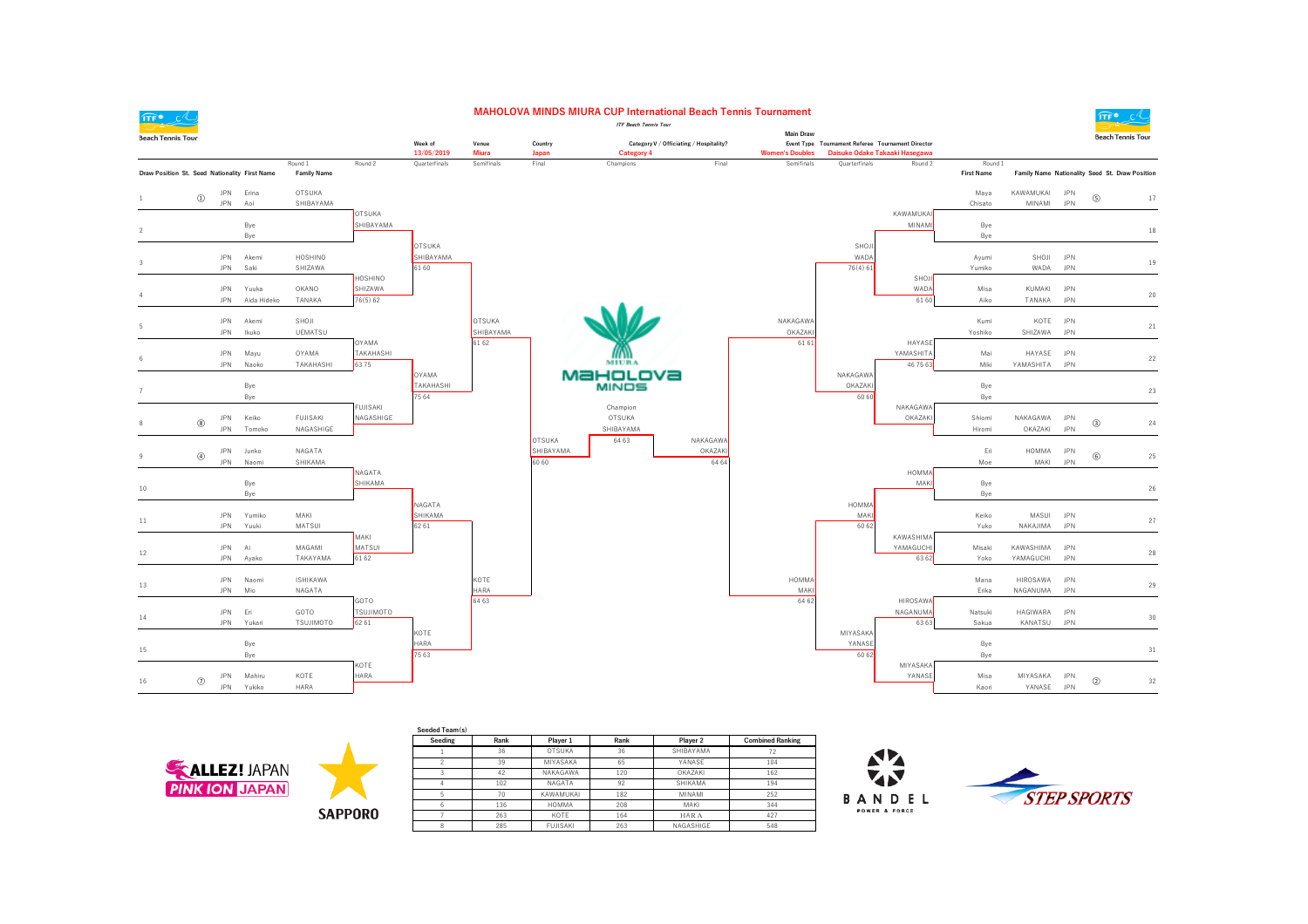

## **MAHOLOVA MINDS MIURA CUP International Beach Tennis Tournament**



| $\mathbf{H}$                                  |                             |            |             |                               |                            |                      |               |           | <b>ITF Beach Tennis Tour</b>            |          |                        |                                                   |                                |                              |              |            | $\frac{111}{2}$                                |
|-----------------------------------------------|-----------------------------|------------|-------------|-------------------------------|----------------------------|----------------------|---------------|-----------|-----------------------------------------|----------|------------------------|---------------------------------------------------|--------------------------------|------------------------------|--------------|------------|------------------------------------------------|
| <b>Beach Tennis Tour</b>                      |                             |            |             |                               |                            |                      |               |           |                                         |          | Main Draw              |                                                   |                                |                              |              |            | <b>Beach Tennis Tour</b>                       |
|                                               |                             |            |             |                               |                            | Week of              | Venue         | Country   | Category V / Officiating / Hospitality? |          |                        | Event Type Tournament Referee Tournament Director |                                |                              |              |            |                                                |
|                                               |                             |            |             |                               |                            | 13/05/2019           | <b>Miura</b>  | Japan     | Category 4                              |          | <b>Women's Doubles</b> |                                                   | Daisuke Odake Takaaki Hasegawa |                              |              |            |                                                |
| Draw Position St. Seed Nationality First Name |                             |            |             | Round 1<br><b>Family Name</b> | Round 2                    | Quarterfinals        | Semifinals    | Final     | Champions                               | Final    | Semifinals             | Quarterfinals                                     | Round 2                        | Round 1<br><b>First Name</b> |              |            | Family Name Nationality Seed St. Draw Position |
|                                               |                             |            |             |                               |                            |                      |               |           |                                         |          |                        |                                                   |                                |                              |              |            |                                                |
|                                               | $^{\tiny{\textregistered}}$ | <b>JPN</b> | Erina       | OTSUKA                        |                            |                      |               |           |                                         |          |                        |                                                   |                                | Maya                         | KAWAMUKAI    | <b>JPN</b> | $\circledS$<br>17                              |
|                                               |                             | <b>JPN</b> | Aoi         | SHIBAYAMA                     |                            |                      |               |           |                                         |          |                        |                                                   | KAWAMUKA                       | Chisato                      | MINAMI       | <b>JPN</b> |                                                |
|                                               |                             |            | Bye         |                               | <b>OTSUKA</b><br>SHIBAYAMA |                      |               |           |                                         |          |                        |                                                   | MINAM                          | Bye                          |              |            |                                                |
| 2                                             |                             |            | Bye         |                               |                            |                      |               |           |                                         |          |                        |                                                   |                                | Bye                          |              |            | 18                                             |
|                                               |                             |            |             |                               |                            | <b>OTSUKA</b>        |               |           |                                         |          |                        | SHOJI                                             |                                |                              |              |            |                                                |
| $\mathcal{R}$                                 |                             | <b>JPN</b> | Akemi       | HOSHINO                       |                            | SHIBAYAMA            |               |           |                                         |          |                        | WAD/                                              |                                | Ayumi                        | SHOJI        | <b>JPN</b> | 19                                             |
|                                               |                             | <b>JPN</b> | Saki        | SHIZAWA                       |                            | 61 60                |               |           |                                         |          |                        | 76(4)61                                           |                                | Yumiko                       | WADA         | <b>JPN</b> |                                                |
|                                               |                             |            |             |                               | HOSHINO                    |                      |               |           |                                         |          |                        |                                                   | SHOJ                           |                              |              |            |                                                |
|                                               |                             | <b>JPN</b> | Yuuka       | OKANO                         | SHIZAWA                    |                      |               |           |                                         |          |                        |                                                   | WADA                           | Misa                         | KUMAKI       | <b>JPN</b> | 20                                             |
|                                               |                             | <b>JPN</b> | Aida Hideko | TANAKA                        | 76(5) 62                   |                      |               |           |                                         |          |                        |                                                   | 61 60                          | Aiko                         | TANAKA       | <b>JPN</b> |                                                |
|                                               |                             | <b>JPN</b> | Akemi       | SHOJI                         |                            |                      | <b>OTSUKA</b> |           |                                         |          | NAKAGAWA               |                                                   |                                | Kumi                         | KOTE         | <b>JPN</b> |                                                |
|                                               |                             | <b>JPN</b> | Ikuko       | <b>UEMATSU</b>                |                            |                      | SHIBAYAMA     |           |                                         |          | OKAZAKI                |                                                   |                                | Yoshiko                      | SHIZAWA      | <b>JPN</b> | 21                                             |
|                                               |                             |            |             |                               | OYAMA                      |                      | 61 62         |           |                                         |          | 61 61                  |                                                   | HAYASE                         |                              |              |            |                                                |
|                                               |                             | <b>JPN</b> | Mayu        | OYAMA                         | TAKAHASHI                  |                      |               |           |                                         |          |                        |                                                   | YAMASHITA                      | Mai                          | HAYASE       | <b>JPN</b> | 22                                             |
|                                               |                             | <b>JPN</b> | Naoko       | TAKAHASHI                     | 6375                       |                      |               |           | MIURA                                   |          |                        |                                                   | 46 75 63                       | Miki                         | YAMASHITA    | <b>JPN</b> |                                                |
|                                               |                             |            |             |                               |                            | OYAMA                |               |           | MaHoLova                                |          |                        | <b>NAKAGAWA</b>                                   |                                |                              |              |            |                                                |
|                                               |                             |            | Bye         |                               |                            | TAKAHASHI<br>75 64   |               |           | <b>MINDS</b>                            |          |                        | OKAZAK<br>60 60                                   |                                | Bye                          |              |            | 23                                             |
|                                               |                             |            | Bye         |                               | <b>FUJISAKI</b>            |                      |               |           | Champion                                |          |                        |                                                   | NAKAGAWA                       | Bye                          |              |            |                                                |
|                                               |                             | JPN        | Keiko       | <b>FUJISAKI</b>               | NAGASHIGE                  |                      |               |           | <b>OTSUKA</b>                           |          |                        |                                                   | OKAZAK                         | Shiomi                       | NAKAGAWA     | <b>JPN</b> |                                                |
|                                               | $^\circledR$                | <b>JPN</b> | Tomoko      | NAGASHIGE                     |                            |                      |               |           | SHIBAYAMA                               |          |                        |                                                   |                                | Hiromi                       | OKAZAKI      | <b>JPN</b> | $\circled{3}$<br>24                            |
|                                               |                             |            |             |                               |                            |                      |               | OTSUKA    | 64 63                                   | NAKAGAWA |                        |                                                   |                                |                              |              |            |                                                |
|                                               | $^\circledR$                | <b>JPN</b> | Junko       | NAGATA                        |                            |                      |               | SHIBAYAMA |                                         | OKAZAKI  |                        |                                                   |                                | Eri                          | <b>HOMMA</b> | <b>JPN</b> | $^\circledR$<br>25                             |
|                                               |                             | <b>JPN</b> | Naomi       | SHIKAMA                       |                            |                      |               | 60 60     |                                         | 64 64    |                        |                                                   |                                | Moe                          | MAKI         | <b>JPN</b> |                                                |
|                                               |                             |            | Bye         |                               | NAGATA<br>SHIKAMA          |                      |               |           |                                         |          |                        |                                                   | <b>HOMMA</b><br>MAK            | Bye                          |              |            |                                                |
| 10                                            |                             |            | Bye         |                               |                            |                      |               |           |                                         |          |                        |                                                   |                                | Bye                          |              |            | 26                                             |
|                                               |                             |            |             |                               |                            | NAGATA               |               |           |                                         |          |                        | HOMMA                                             |                                |                              |              |            |                                                |
|                                               |                             | <b>JPN</b> | Yumiko      | MAKI                          |                            | SHIKAMA              |               |           |                                         |          |                        | MAKI                                              |                                | Keiko                        | MASUI        | <b>JPN</b> |                                                |
| 11                                            |                             | <b>JPN</b> | Yuuki       | MATSUI                        |                            | 62 61                |               |           |                                         |          |                        | 60 62                                             |                                | Yuko                         | NAKAJIMA     | <b>JPN</b> | 27                                             |
|                                               |                             |            |             |                               | MAKI                       |                      |               |           |                                         |          |                        |                                                   | KAWASHIMA                      |                              |              |            |                                                |
| 12                                            |                             | <b>JPN</b> | Ai          | MAGAMI                        | MATSUI                     |                      |               |           |                                         |          |                        |                                                   | YAMAGUCHI                      | Misaki                       | KAWASHIMA    | <b>JPN</b> | 28                                             |
|                                               |                             | JPN        | Ayako       | TAKAYAMA                      | 61 62                      |                      |               |           |                                         |          |                        |                                                   | 63 62                          | Yoko                         | YAMAGUCHI    | <b>JPN</b> |                                                |
|                                               |                             | <b>JPN</b> | Naomi       | ISHIKAWA                      |                            |                      | KOTE          |           |                                         |          | HOMMA                  |                                                   |                                | Mana                         | HIROSAWA     | <b>JPN</b> |                                                |
| 13                                            |                             | <b>JPN</b> | Mio         | NAGATA                        |                            |                      | <b>HARA</b>   |           |                                         |          | MAKI                   |                                                   |                                | Erika                        | NAGANUMA     | <b>JPN</b> | 29                                             |
|                                               |                             |            |             |                               | GOTO                       |                      | 64 63         |           |                                         |          | 64 62                  |                                                   | <b>HIROSAWA</b>                |                              |              |            |                                                |
| 14                                            |                             | <b>JPN</b> | Eri         | GOTO                          | <b>TSUJIMOTO</b>           |                      |               |           |                                         |          |                        |                                                   | NAGANUMA                       | Natsuki                      | HAGIWARA     | <b>JPN</b> | 30                                             |
|                                               |                             | <b>JPN</b> | Yukari      | <b>TSUJIMOTO</b>              | 62 61                      |                      |               |           |                                         |          |                        |                                                   | 63 63                          | Sakua                        | KANATSU      | <b>JPN</b> |                                                |
|                                               |                             |            |             |                               |                            | KOTE                 |               |           |                                         |          |                        | <b>MIYASAKA</b>                                   |                                |                              |              |            |                                                |
| 15                                            |                             |            | Bye<br>Bye  |                               |                            | <b>HARA</b><br>75 63 |               |           |                                         |          |                        | YANASE<br>60 62                                   |                                | Bye                          |              |            | 31                                             |
|                                               |                             |            |             |                               | KOTE                       |                      |               |           |                                         |          |                        |                                                   | MIYASAKA                       | Bye                          |              |            |                                                |
|                                               |                             | <b>JPN</b> | Mahiru      | KOTE                          | HARA                       |                      |               |           |                                         |          |                        |                                                   | YANASE                         | Misa                         | MIYASAKA     | <b>JPN</b> |                                                |
| 16                                            | $\circledcirc$              | <b>JPN</b> | Yukiko      | HARA                          |                            |                      |               |           |                                         |          |                        |                                                   |                                | Kaori                        | YANASE       | <b>JPN</b> | $\circled{2}$<br>32                            |
|                                               |                             |            |             |                               |                            |                      |               |           |                                         |          |                        |                                                   |                                |                              |              |            |                                                |